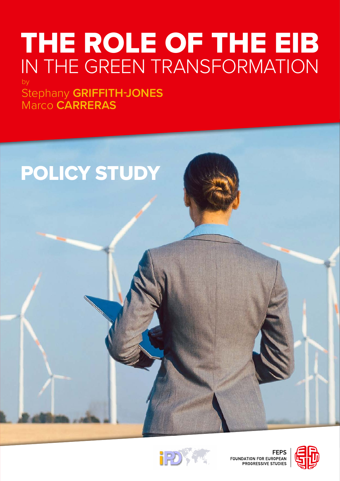# THE ROLE OF THE EIB IN THE GREEN TRANSFORMATION by

Stephany **GRIFFITH-JONES** Marco **CARRERAS**





FEPS<br>FOUNDATION FOR EUROPEAN<br>PROGRESSIVE STUDIES

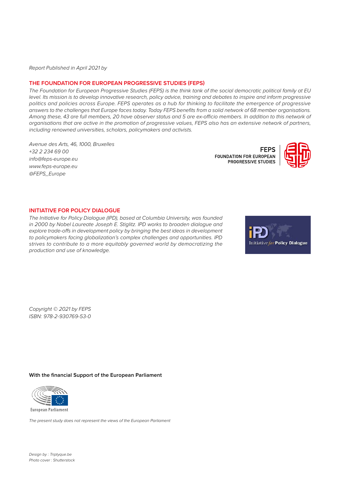*Report Published in April 2021 by* 

#### **THE FOUNDATION FOR EUROPEAN PROGRESSIVE STUDIES (FEPS)**

*The Foundation for European Progressive Studies (FEPS) is the think tank of the social democratic political family at EU level. Its mission is to develop innovative research, policy advice, training and debates to inspire and inform progressive politics and policies across Europe. FEPS operates as a hub for thinking to facilitate the emergence of progressive answers to the challenges that Europe faces today. Today FEPS benefits from a solid network of 68 member organisations. Among these, 43 are full members, 20 have observer status and 5 are ex-officio members. In addition to this network of organisations that are active in the promotion of progressive values, FEPS also has an extensive network of partners, including renowned universities, scholars, policymakers and activists.*

*Avenue des Arts, 46, 1000, Bruxelles +32 2 234 69 00 info@feps-europe.eu www.feps-europe.eu @FEPS\_Europe* 

**FEPS** FOUNDATION FOR EUROPEAN **PROGRESSIVE STUDIES** 



#### **INITIATIVE FOR POLICY DIALOGUE**

*The Initiative for Policy Dialogue (IPD), based at Columbia University, was founded in 2000 by Nobel Laureate Joseph E. Stiglitz. IPD works to broaden dialogue and explore trade-offs in development policy by bringing the best ideas in development to policymakers facing globalization's complex challenges and opportunities. IPD strives to contribute to a more equitably governed world by democratizing the production and use of knowledge.*



*Copyright © 2021 by FEPS ISBN: 978-2-930769-53-0*

#### **With the financial Support of the European Parliament**



*The present study does not represent the views of the European Parliament*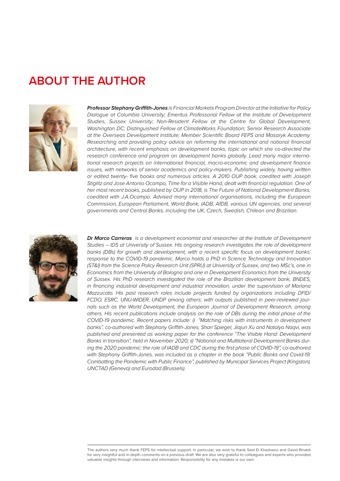## **ABOUT THE AUTHOR**



*Professor Stephany Griffith-Jones is Financial Markets Program Director at the Initiative for Policy Dialogue at Columbia University; Emeritus Professorial Fellow at the Institute of Development Studies, Sussex University; Non-Resident Fellow at the Centre for Global Development, Washington DC; Distinguished Fellow at ClimateWorks Foundation; Senior Research Associate at the Overseas Development Institute; Member Scientific Board FEPS and Masaryk Academy.*  Researching and providing policy advice on reforming the international and national financial *architecture, with recent emphasis on development banks, topic on which she co-directed the research conference and program on development banks globally. Lead many major international research projects on international financial, macro-economic and development finance*  issues, with networks of senior academics and policy-makers. Publishing widely, having written *or edited twenty- five books and numerous articles. A 2010 OUP book, coedited with Joseph Stiglitz and Jose Antonio Ocampo, Time for a Visible Hand, dealt with financial regulation. One of her most recent books, published by OUP in 2018, is The Future of National Development Banks,*  coedited with J.A.Ocampo. Advised many international organisations, including the European *Commission, European Parliament, World Bank, IADB, AfDB, various UN agencies, and several governments and Central Banks, including the UK, Czech, Swedish, Chilean and Brazilian.* 



*Dr Marco Carreras is a development economist and researcher at the Institute of Development Studies – IDS at University of Sussex. His ongoing research investigates the role of development*  banks (DBs) for growth and development, with a recent specific focus on development banks' *response to the COVID-19 pandemic. Marco holds a PhD in Science Technology and Innovation (ST&I) from the Science Policy Research Unit (SPRU) at University of Sussex, and two MSc's, one in Economics from the University of Bologna and one in Development Economics from the University of Sussex. His PhD research investigated the role of the Brazilian development bank, BNDES, in financing industrial development and industrial innovation, under the supervision of Mariana Mazzucato. His past research roles include projects funded by organizations including DFID/ FCDO, ESRC, UNU-WIDER, UNDP among others; with outputs published in peer-reviewed journals such as the World Development, the European Journal of Development Research, among others. His recent publications include analysis on the role of DBs during the initial phase of the COVID-19 pandemic. Recent papers include: i) "Matching risks with instruments in development banks", co-authored with Stephany Griffith-Jones, Shari Spiegel, Jiajun Xu and Natalya Naqvi, was published and presented as working paper for the conference "The Visible Hand: Development Banks in transition", held in November 2020; ii) "National and Multilateral Development Banks dur*ing the 2020 pandemic: the role of IADB and CDC during the first phase of COVID-19", co-authored *with Stephany Griffith-Jones, was included as a chapter in the book "Public Banks and Covid-19:*  Combatting the Pandemic with Public Finance", published by Municipal Services Project (Kingston), *UNCTAD (Geneva) and Eurodad (Brussels).*

The authors very much thank FEPS for intellectual support. In particular, we wish to thank Said El Khadraoui and David Rinaldi for very insightful and in-depth comments on a previous draft. We are also very grateful to colleagues and experts who provided valuable insights through interviews and information. Responsibility for any mistakes is our own.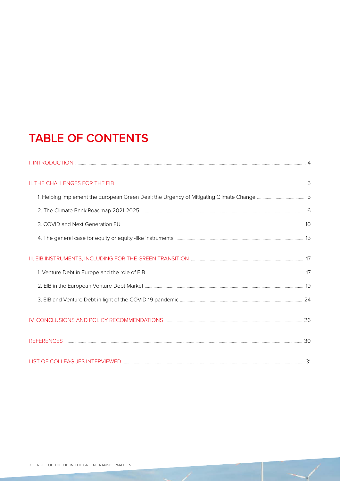# **TABLE OF CONTENTS**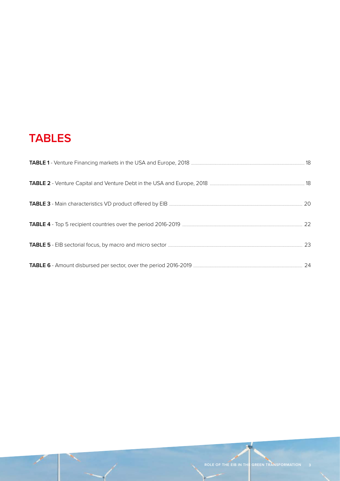# **TABLES**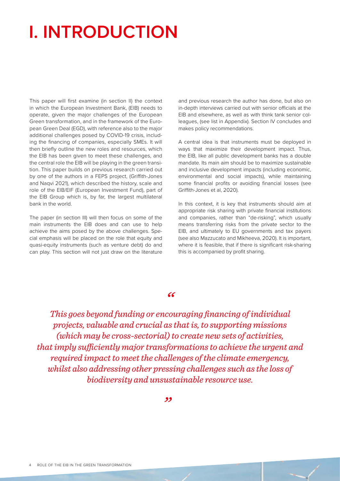# <span id="page-5-0"></span>**I. INTRODUCTION**

This paper will first examine (in section II) the context in which the European Investment Bank, (EIB) needs to operate, given the major challenges of the European Green transformation, and in the framework of the European Green Deal (EGD), with reference also to the major additional challenges posed by COVID-19 crisis, including the financing of companies, especially SMEs. It will then briefly outline the new roles and resources, which the EIB has been given to meet these challenges, and the central role the EIB will be playing in the green transition. This paper builds on previous research carried out by one of the authors in a FEPS project, (Griffith-Jones and Naqvi 2021), which described the history, scale and role of the EIB/EIF (European Investment Fund), part of the EIB Group which is, by far, the largest multilateral bank in the world.

The paper (in section III) will then focus on some of the main instruments the EIB does and can use to help achieve the aims posed by the above challenges. Special emphasis will be placed on the role that equity and quasi-equity instruments (such as venture debt) do and can play. This section will not just draw on the literature

and previous research the author has done, but also on in-depth interviews carried out with senior officials at the EIB and elsewhere, as well as with think tank senior colleagues, (see list in Appendix). Section IV concludes and makes policy recommendations.

A central idea is that instruments must be deployed in ways that maximize their development impact. Thus, the EIB, like all public development banks has a double mandate. Its main aim should be to maximize sustainable and inclusive development impacts (including economic, environmental and social impacts), while maintaining some financial profits or avoiding financial losses (see Griffith-Jones et al, 2020).

In this context, it is key that instruments should aim at appropriate risk sharing with private financial institutions and companies, rather than "de-risking", which usually means transferring risks from the private sector to the EIB, and ultimately to EU governments and tax payers (see also Mazzucato and Mikheeva, 2020). It is important, where it is feasible, that if there is significant risk-sharing this is accompanied by profit sharing.

#### *"*

*This goes beyond funding or encouraging financing of individual projects, valuable and crucial as that is, to supporting missions (which may be cross-sectorial) to create new sets of activities, that imply sufficiently major transformations to achieve the urgent and required impact to meet the challenges of the climate emergency, whilst also addressing other pressing challenges such as the loss of biodiversity and unsustainable resource use.*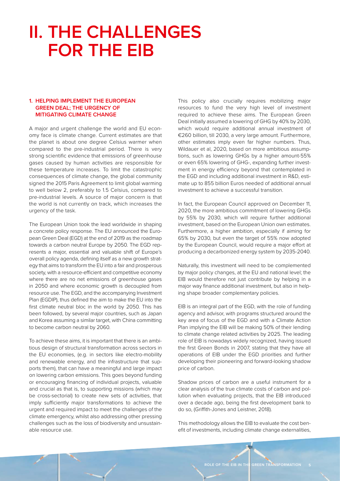# <span id="page-6-0"></span>**II. THE CHALLENGES FOR THE EIB**

#### **1. HELPING IMPLEMENT THE EUROPEAN GREEN DEAL; THE URGENCY OF MITIGATING CLIMATE CHANGE**

A major and urgent challenge the world and EU economy face is climate change. Current estimates are that the planet is about one degree Celsius warmer when compared to the pre-industrial period. There is very strong scientific evidence that emissions of greenhouse gases caused by human activities are responsible for these temperature increases. To limit the catastrophic consequences of climate change, the global community signed the 2015 Paris Agreement to limit global warming to well below 2, preferably to 1.5 Celsius, compared to pre-industrial levels. A source of major concern is that the world is not currently on track, which increases the urgency of the task.

The European Union took the lead worldwide in shaping a concrete policy response. The EU announced the European Green Deal (EGD) at the end of 2019 as the roadmap towards a carbon neutral Europe by 2050. The EGD represents a major, essential and valuable shift of Europe's overall policy agenda, defining itself as a new growth strategy that aims to transform the EU into a fair and prosperous society, with a resource-efficient and competitive economy where there are no net emissions of greenhouse gases in 2050 and where economic growth is decoupled from resource use. The EGD, and the accompanying Investment Plan (EGDIP), thus defined the aim to make the EU into the first climate neutral bloc in the world by 2050. This has been followed, by several major countries, such as Japan and Korea assuming a similar target, with China committing to become carbon neutral by 2060.

To achieve these aims, it is important that there is an ambitious design of structural transformation across sectors in the EU economies, (e.g. in sectors like electro-mobility and renewable energy, and the infrastructure that supports them), that can have a meaningful and large impact on lowering carbon emissions. This goes beyond funding or encouraging financing of individual projects, valuable and crucial as that is, to supporting missions (which may be cross-sectorial) to create new sets of activities, that imply sufficiently major transformations to achieve the urgent and required impact to meet the challenges of the climate emergency, whilst also addressing other pressing challenges such as the loss of biodiversity and unsustainable resource use.

This policy also crucially requires mobilizing major resources to fund the very high level of investment required to achieve these aims. The European Green Deal initially assumed a lowering of GHG by 40% by 2030, which would require additional annual investment of €260 billion, till 2030, a very large amount. Furthermore, other estimates imply even far higher numbers. Thus, Wildauer et al, 2020, based on more ambitious assumptions, such as lowering GHGs by a higher amount-55% or even 65% lowering of GHG-, expanding further investment in energy efficiency beyond that contemplated in the EGD and including additional investment in R&D, estimate up to 855 billion Euros needed of additional annual investment to achieve a successful transition.

In fact, the European Council approved on December 11, 2020, the more ambitious commitment of lowering GHGs by 55% by 2030, which will require further additional investment, based on the European Union own estimates. Furthermore, a higher ambition, especially if aiming for 65% by 2030, but even the target of 55% now adopted by the European Council, would require a major effort at producing a decarbonized energy system by 2035-2040.

Naturally, this investment will need to be complemented by major policy changes, at the EU and national level; the EIB would therefore not just contribute by helping in a major way finance additional investment, but also in helping shape broader complementary policies.

EIB is an integral part of the EGD, with the role of funding agency and advisor, with programs structured around the key area of focus of the EGD and with a Climate Action Plan implying the EIB will be making 50% of their lending to climate change related activities by 2025. The leading role of EIB is nowadays widely recognized, having issued the first Green Bonds in 2007, stating that they have all operations of EIB under the EGD priorities and further developing their pioneering and forward-looking shadow price of carbon.

Shadow prices of carbon are a useful instrument for a clear analysis of the true climate costs of carbon and pollution when evaluating projects, that the EIB introduced over a decade ago, being the first development bank to do so, (Griffith-Jones and Leistner, 2018).

This methodology allows the EIB to evaluate the cost benefit of investments, including climate change externalities,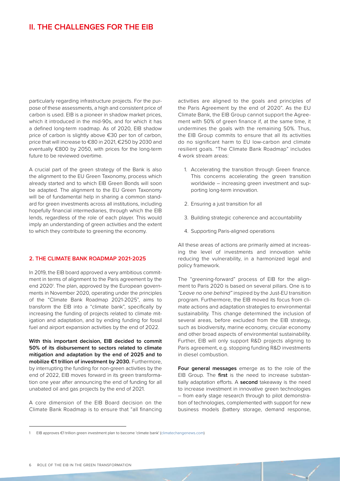<span id="page-7-0"></span>particularly regarding infrastructure projects. For the purpose of these assessments, a high and consistent price of carbon is used. EIB is a pioneer in shadow market prices, which it introduced in the mid-90s, and for which it has a defined long-term roadmap. As of 2020, EIB shadow price of carbon is slightly above €30 per ton of carbon, price that will increase to €80 in 2021, €250 by 2030 and eventually €800 by 2050, with prices for the long-term future to be reviewed overtime.

A crucial part of the green strategy of the Bank is also the alignment to the EU Green Taxonomy, process which already started and to which EIB Green Bonds will soon be adapted. The alignment to the EU Green Taxonomy will be of fundamental help in sharing a common standard for green investments across all institutions, including hopefully financial intermediaries, through which the EIB lends, regardless of the role of each player. This would imply an understanding of green activities and the extent to which they contribute to greening the economy.

#### **2. THE CLIMATE BANK ROADMAP 2021-2025**

In 2019, the EIB board approved a very ambitious commitment in terms of alignment to the Paris agreement by the end 2020<sup>1</sup>. The plan, approved by the European governments in November 2020, operating under the principles of the "Climate Bank Roadmap 2021-2025", aims to transform the EIB into a "climate bank", specifically by increasing the funding of projects related to climate mitigation and adaptation, and by ending funding for fossil fuel and airport expansion activities by the end of 2022.

**With this important decision, EIB decided to commit 50% of its disbursement to sectors related to climate mitigation and adaptation by the end of 2025 and to mobilize €1 trillion of investment by 2030.** Furthermore, by interrupting the funding for non-green activities by the end of 2022, EIB moves forward in its green transformation one year after announcing the end of funding for all unabated oil and gas projects by the end of 2021.

A core dimension of the EIB Board decision on the Climate Bank Roadmap is to ensure that "all financing activities are aligned to the goals and principles of the Paris Agreement by the end of 2020". As the EU Climate Bank, the EIB Group cannot support the Agreement with 50% of green finance if, at the same time, it undermines the goals with the remaining 50%. Thus, the EIB Group commits to ensure that all its activities do no significant harm to EU low-carbon and climate resilient goals. "The Climate Bank Roadmap" includes 4 work stream areas:

- 1. Accelerating the transition through Green finance. This concerns accelerating the green transition worldwide – increasing green investment and supporting long-term innovation.
- 2. Ensuring a just transition for all
- 3. Building strategic coherence and accountability
- 4. Supporting Paris-aligned operations

All these areas of actions are primarily aimed at increasing the level of investments and innovation while reducing the vulnerability, in a harmonized legal and policy framework.

The "greening-forward" process of EIB for the alignment to Paris 2020 is based on several pillars. One is to *"Leave no one behind"* inspired by the Just-EU transition program. Furthermore, the EIB moved its focus from climate actions and adaptation strategies to environmental sustainability. This change determined the inclusion of several areas, before excluded from the EIB strategy, such as biodiversity, marine economy, circular economy and other broad aspects of environmental sustainability. Further, EIB will only support R&D projects aligning to Paris agreement, e.g. stopping funding R&D investments in diesel combustion.

**Four general messages** emerge as to the role of the EIB Group. The **first** is the need to increase substantially adaptation efforts. A **second** takeaway is the need to increase investment in innovative green technologies – from early stage research through to pilot demonstration of technologies, complemented with support for new business models (battery storage, demand response,

<sup>1</sup> [EIB approves €1 trillion green investment plan to become 'climate bank' \(climatechangenews.com\)](https://www.climatechangenews.com/2020/11/12/eib-approves-e1-trillion-green-investment-plan-become-climate-bank/)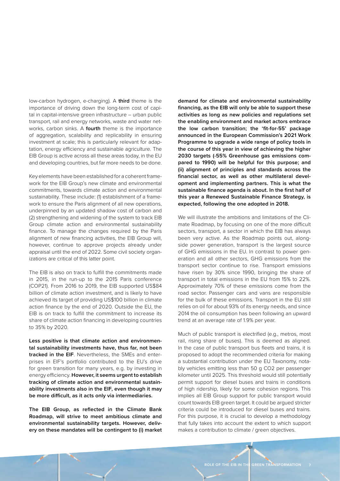low-carbon hydrogen, e-charging). A **third** theme is the importance of driving down the long-term cost of capital in capital-intensive green infrastructure – urban public transport, rail and energy networks, waste and water networks, carbon sinks. A **fourth** theme is the importance of aggregation, scalability and replicability in ensuring investment at scale; this is particularly relevant for adaptation, energy efficiency and sustainable agriculture. The EIB Group is active across all these areas today, in the EU and developing countries, but far more needs to be done.

Key elements have been established for a coherent framework for the EIB Group's new climate and environmental commitments, towards climate action and environmental sustainability. These include: (1) establishment of a framework to ensure the Paris alignment of all new operations, underpinned by an updated shadow cost of carbon and (2) strengthening and widening of the system to track EIB Group climate action and environmental sustainability finance. To manage the changes required by the Paris alignment of new financing activities, the EIB Group will, however, continue to approve projects already under appraisal until the end of 2022. Some civil society organizations are critical of this latter point.

The EIB is also on track to fulfill the commitments made in 2015, in the run-up to the 2015 Paris conference (COP21). From 2016 to 2019, the EIB supported US\$84 billion of climate action investment, and is likely to have achieved its target of providing US\$100 billion in climate action finance by the end of 2020. Outside the EU, the EIB is on track to fulfill the commitment to increase its share of climate action financing in developing countries to 35% by 2020.

**Less positive is that climate action and environmental sustainability investments have, thus far, not been tracked in the EIF**. Nevertheless, the SMEs and enterprises in EIF's portfolio contributed to the EU's drive for green transition for many years, e.g. by investing in energy efficiency. **However, it seems urgent to establish tracking of climate action and environmental sustainability investments also in the EIF, even though it may be more difficult, as it acts only via intermediaries.**

**The EIB Group, as reflected in the Climate Bank Roadmap, will strive to meet ambitious climate and environmental sustainability targets. However, delivery on these mandates will be contingent to (i) market**  **demand for climate and environmental sustainability financing, as the EIB will only be able to support these activities as long as new policies and regulations set the enabling environment and market actors embrace the low carbon transition; the 'fit-for-55' package announced in the European Commission's 2021 Work Programme to upgrade a wide range of policy tools in the course of this year in view of achieving the higher 2030 targets (-55% Greenhouse gas emissions compared to 1990) will be helpful for this purpose; and (ii) alignment of principles and standards across the financial sector, as well as other multilateral development and implementing partners. This is what the sustainable finance agenda is about. In the first half of this year a Renewed Sustainable Finance Strategy, is expected, following the one adopted in 2018.**

We will illustrate the ambitions and limitations of the Climate Roadmap, by focusing on one of the more difficult sectors, transport, a sector in which the EIB has always been very active. As the Roadmap points out, alongside power generation, transport is the largest source of GHG emissions in the EU. In contrast to power generation and all other sectors, GHG emissions from the transport sector continue to rise. Transport emissions have risen by 30% since 1990, bringing the share of transport in total emissions in the EU from 15% to 22%. Approximately 70% of these emissions come from the road sector. Passenger cars and vans are responsible for the bulk of these emissions. Transport in the EU still relies on oil for about 93% of its energy needs, and since 2014 the oil consumption has been following an upward trend at an average rate of 1.9% per year.

Much of public transport is electrified (e.g., metros, most rail, rising share of buses). This is deemed as aligned. In the case of public transport bus fleets and trains, it is proposed to adopt the recommended criteria for making a substantial contribution under the EU Taxonomy, notably vehicles emitting less than 50 g CO2 per passenger kilometer until 2025. This threshold would still potentially permit support for diesel buses and trains in conditions of high ridership, likely for some cohesion regions. This implies all EIB Group support for public transport would count towards EIB green target. It could be argued stricter criteria could be introduced for diesel buses and trains. For this purpose, it is crucial to develop a methodology that fully takes into account the extent to which support makes a contribution to climate / green objectives.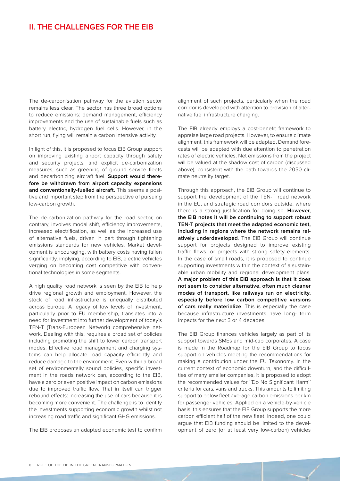The de-carbonisation pathway for the aviation sector remains less clear. The sector has three broad options to reduce emissions: demand management, efficiency improvements and the use of sustainable fuels such as battery electric, hydrogen fuel cells. However, in the short run, flying will remain a carbon intensive activity.

In light of this, it is proposed to focus EIB Group support on improving existing airport capacity through safety and security projects, and explicit de-carbonization measures, such as greening of ground service fleets and decarbonizing aircraft fuel. **Support would therefore be withdrawn from airport capacity expansions and conventionally-fuelled aircraft.** This seems a positive and important step from the perspective of pursuing low-carbon growth.

The de-carbonization pathway for the road sector, on contrary, involves modal shift, efficiency improvements, increased electrification, as well as the increased use of alternative fuels, driven in part through tightening emissions standards for new vehicles. Market development is encouraging, with battery costs having fallen significantly, implying, according to EIB, electric vehicles verging on becoming cost competitive with conventional technologies in some segments.

A high quality road network is seen by the EIB to help drive regional growth and employment. However, the stock of road infrastructure is unequally distributed across Europe. A legacy of low levels of investment, particularly prior to EU membership, translates into a need for investment into further development of today's TEN-T (Trans-European Network) comprehensive network. Dealing with this, requires a broad set of policies including promoting the shift to lower carbon transport modes. Effective road management and charging systems can help allocate road capacity efficiently and reduce damage to the environment. Even within a broad set of environmentally sound policies, specific investment in the roads network can, according to the EIB, have a zero or even positive impact on carbon emissions due to improved traffic flow. That in itself can trigger rebound effects: increasing the use of cars because it is becoming more convenient. The challenge is to identify the investments supporting economic growth whilst not increasing road traffic and significant GHG emissions.

The EIB proposes an adapted economic test to confirm

alignment of such projects, particularly when the road corridor is developed with attention to provision of alternative fuel infrastructure charging.

The EIB already employs a cost-benefit framework to appraise large road projects. However, to ensure climate alignment, this framework will be adapted. Demand forecasts will be adapted with due attention to penetration rates of electric vehicles. Net emissions from the project will be valued at the shadow cost of carbon (discussed above), consistent with the path towards the 2050 climate neutrality target.

Through this approach, the EIB Group will continue to support the development of the TEN-T road network in the EU, and strategic road corridors outside, where there is a strong justification for doing so. **However, the EIB notes it will be continuing to support robust TEN-T projects that meet the adapted economic test, including in regions where the network remains relatively underdeveloped**. The EIB Group will continue support for projects designed to improve existing traffic flows, or projects with strong safety elements. In the case of small roads, it is proposed to continue supporting investments within the context of a sustainable urban mobility and regional development plans. **A major problem of this EIB approach is that it does not seem to consider alternative, often much cleaner modes of transport, like railways run on electricity, especially before low carbon competitive versions of cars really materialize**. This is especially the case because infrastructure investments have long- term impacts for the next 3 or 4 decades.

The EIB Group finances vehicles largely as part of its support towards SMEs and mid-cap corporates. A case is made in the Roadmap for the EIB Group to focus support on vehicles meeting the recommendations for making a contribution under the EU Taxonomy. In the current context of economic downturn, and the difficulties of many smaller companies, it is proposed to adopt the recommended values for ''Do No Significant Harm'' criteria for cars, vans and trucks. This amounts to limiting support to below fleet average carbon emissions per km for passenger vehicles. Applied on a vehicle-by-vehicle basis, this ensures that the EIB Group supports the more carbon efficient half of the new fleet. Indeed, one could argue that EIB funding should be limited to the development of zero (or at least very low-carbon) vehicles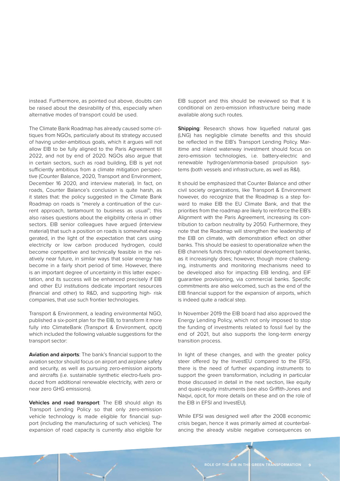instead. Furthermore, as pointed out above, doubts can be raised about the desirability of this, especially when alternative modes of transport could be used.

The Climate Bank Roadmap has already caused some critiques from NGOs, particularly about its strategy accused of having under-ambitious goals, which it argues will not allow EIB to be fully aligned to the Paris Agreement till 2022, and not by end of 2020. NGOs also argue that in certain sectors, such as road building, EIB is yet not sufficiently ambitious from a climate mitigation perspective (Counter Balance, 2020, Transport and Environment, December 16 2020, and interview material). In fact, on roads, Counter Balance's conclusion is quite harsh, as it states that: the policy suggested in the Climate Bank Roadmap on roads is "merely a continuation of the current approach, tantamount to business as usual"; this also raises questions about the eligibility criteria in other sectors. EIB senior colleagues have argued (interview material) that such a position on roads is somewhat exaggerated, in the light of the expectation that cars using electricity or low carbon produced hydrogen, could become competitive and technically feasible in the relatively near future, in similar ways that solar energy has become in a fairly short period of time. However, there is an important degree of uncertainty in this latter expectation, and its success will be enhanced precisely if EIB and other EU institutions dedicate important resources (financial and other) to R&D, and supporting high- risk companies, that use such frontier technologies.

Transport & Environment, a leading environmental NGO, published a six-point plan for the EIB, to transform it more fully into ClimateBank (Transport & Environment, opcit) which included the following valuable suggestions for the transport sector:

**Aviation and airports**: The bank's financial support to the aviation sector should focus on airport and airplane safety and security, as well as pursuing zero-emission airports and aircrafts (i.e. sustainable synthetic electro-fuels produced from additional renewable electricity, with zero or near zero GHG emissions).

**Vehicles and road transport**: The EIB should align its Transport Lending Policy so that only zero-emission vehicle technology is made eligible for financial support (including the manufacturing of such vehicles). The expansion of road capacity is currently also eligible for EIB support and this should be reviewed so that it is conditional on zero-emission infrastructure being made available along such routes.

**Shipping**: Research shows how liquefied natural gas (LNG) has negligible climate benefits and this should be reflected in the EIB's Transport Lending Policy. Maritime and inland waterway investment should focus on zero-emission technologies, i.e. battery-electric and renewable hydrogen/ammonia-based propulsion systems (both vessels and infrastructure, as well as R&I).

It should be emphasized that Counter Balance and other civil society organizations, like Transport & Environment however, do recognize that the Roadmap is a step forward to make EIB the EU Climate Bank, and that the priorities from the roadmap are likely to reinforce the EIB's Alignment with the Paris Agreement, increasing its contribution to carbon neutrality by 2050. Furthermore, they note that the Roadmap will strengthen the leadership of the EIB on climate, with demonstration effect on other banks. This should be easiest to operationalize when the EIB channels funds through national development banks, as it increasingly does; however, though more challenging, instruments and monitoring mechanisms need to be developed also for impacting EIB lending, and EIF guarantee provisioning, via commercial banks. Specific commitments are also welcomed, such as the end of the EIB financial support for the expansion of airports, which is indeed quite a radical step.

In November 2019 the EIB board had also approved the Energy Lending Policy, which not only imposed to stop the funding of investments related to fossil fuel by the end of 2021, but also supports the long-term energy transition process.

In light of these changes, and with the greater policy steer offered by the InvestEU compared to the EFSI, there is the need of further expanding instruments to support the green transformation, including in particular those discussed in detail in the next section, like equity and quasi-equity instruments (see also Griffith-Jones and Naqvi, opcit, for more details on these and on the role of the EIB in EFSI and InvestEU).

While EFSI was designed well after the 2008 economic crisis began, hence it was primarily aimed at counterbalancing the already visible negative consequences on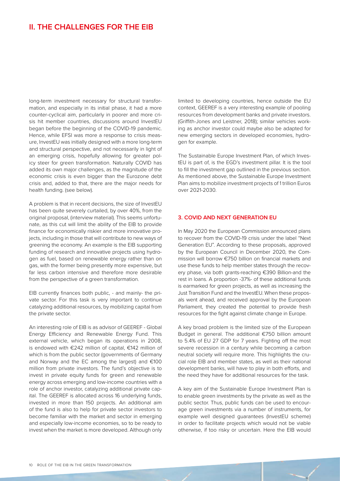### <span id="page-11-0"></span>**II. THE CHALLENGES FOR THE EIB**

long-term investment necessary for structural transformation, and especially in its initial phase, it had a more counter-cyclical aim, particularly in poorer and more crisis hit member countries, discussions around InvestEU began before the beginning of the COVID-19 pandemic. Hence, while EFSI was more a response to crisis measure, InvestEU was initially designed with a more long-term and structural perspective, and not necessarily in light of an emerging crisis, hopefully allowing for greater policy steer for green transformation. Naturally COVID has added its own major challenges, as the magnitude of the economic crisis is even bigger than the Eurozone debt crisis and, added to that, there are the major needs for health funding. (see below).

A problem is that in recent decisions, the size of InvestEU has been quite severely curtailed, by over 40%, from the original proposal, (interview material). This seems unfortunate, as this cut will limit the ability of the EIB to provide finance for economically riskier and more innovative projects, including in those that will contribute to new ways of greening the economy. An example is the EIB supporting funding of research and innovative projects using hydrogen as fuel, based on renewable energy rather than on gas, with the former being presently more expensive, but far less carbon intensive and therefore more desirable from the perspective of a green transformation.

EIB currently finances both public, - and mainly- the private sector. For this task is very important to continue catalyzing additional resources, by mobilizing capital from the private sector.

An interesting role of EIB is as advisor of GEEREF - Global Energy Efficiency and Renewable Energy Fund. This external vehicle, which began its operations in 2008, is endowed with €242 million of capital, €142 million of which is from the public sector (governments of Germany and Norway and the EC among the largest) and €100 million from private investors. The fund's objective is to invest in private equity funds for green and renewable energy across emerging and low-income countries with a role of anchor investor, catalyzing additional private capital. The GEEREF is allocated across 16 underlying funds, invested in more than 150 projects. An additional aim of the fund is also to help for private sector investors to become familiar with the market and sector in emerging and especially low-income economies, so to be ready to invest when the market is more developed. Although only

limited to developing countries, hence outside the EU context, GEEREF is a very interesting example of pooling resources from development banks and private investors. (Griffith-Jones and Leistner, 2018); similar vehicles working as anchor investor could maybe also be adapted for new emerging sectors in developed economies, hydrogen for example.

The Sustainable Europe Investment Plan, of which InvestEU is part of, is the EGD's investment pillar. It is the tool to fill the investment gap outlined in the previous section. As mentioned above, the Sustainable Europe Investment Plan aims to mobilize investment projects of 1 trillion Euros over 2021-2030.

#### **3. COVID AND NEXT GENERATION EU**

In May 2020 the European Commission announced plans to recover from the COVID-19 crisis under the label "Next Generation EU". According to these proposals, approved by the European Council in December 2020, the Commission will borrow €750 billion on financial markets and use these funds to help member states through the recovery phase, via both grants-reaching €390 Billion-and the rest in loans. A proportion -37%- of these additional funds is earmarked for green projects, as well as increasing the Just Transition Fund and the InvestEU. When these proposals went ahead, and received approval by the European Parliament, they created the potential to provide fresh resources for the fight against climate change in Europe.

A key broad problem is the limited size of the European Budget in general. The additional €750 billion amount to 5.4% of EU 27 GDP for 7 years. Fighting off the most severe recession in a century while becoming a carbon neutral society will require more. This highlights the crucial role EIB and member states, as well as their national development banks, will have to play in both efforts, and the need they have for additional resources for the task.

A key aim of the Sustainable Europe Investment Plan is to enable green investments by the private as well as the public sector. Thus, public funds can be used to encourage green investments via a number of instruments, for example well designed guarantees (InvestEU scheme) in order to facilitate projects which would not be viable otherwise, if too risky or uncertain. Here the EIB would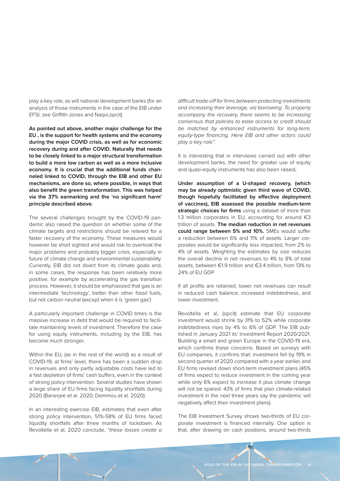play a key role, as will national development banks (for an analysis of those instruments in the case of the EIB under EFSI, see Griffith-Jones and Naqvi,opcit).

**As pointed out above, another major challenge for the EU , is the support for health systems and the economy during the major COVID crisis, as well as for economic recovery during and after COVID. Naturally that needs to be closely linked to a major structural transformation to build a more low carbon as well as a more inclusive economy. It is crucial that the additional funds channeled linked to COVID, through the EIB and other EU mechanisms, are done so, where possible, in ways that also benefit the green transformation. This was helped via the 37% earmarking and the 'no significant harm' principle described above.**

The several challenges brought by the COVID-19 pandemic also raised the question on whether some of the climate targets and restrictions should be relaxed for a faster recovery of the economy. These measures would however be short sighted and would risk to overlook the major problems and probably bigger crisis, especially in future of climate change and environmental sustainability. Currently, EIB did not divert from its climate goals and, in some cases, the response has been relatively more positive, for example by accelerating the gas transition process. However, it should be emphasized that gas is an intermediate 'technology', better than other fossil fuels, but not carbon neutral (except when it is 'green gas')

A particularly important challenge in COVID times is the massive increase in debt that would be required to facilitate maintaining levels of investment. Therefore the case for using equity instruments, including by the EIB, has become much stronger.

Within the EU, (as in the rest of the world) as a result of COVID-19, at firms' level, there has been a sudden drop in revenues and only partly adjustable costs have led to a fast depletion of firms' cash buffers, even in the context of strong policy intervention. Several studies have shown a large share of EU firms facing liquidity shortfalls during 2020 (Banerjee et al. 2020, Demmou et al. 2020).

In an interesting exercise EIB, estimates that even after strong policy intervention, 51%-58% of EU firms faced liquidity shortfalls after three months of lockdown. As Revoltella et al, 2020 conclude, "*these losses create a* 

*difficult trade-off for firms between protecting investments and increasing their leverage, via borrowing. To properly accompany the recovery, there seems to be increasing consensus that policies to ease access to credit should be matched by enhanced instruments for long-term, equity-type financing. Here EIB and other actors could play a key role".* 

It is interesting that in interviews carried out with other development banks, the need for greater use of equity and quasi-equity instruments has also been raised**.**

**Under assumption of a U-shaped recovery, (which may be already optimistic given third wave of COVID, though hopefully facilitated by effective deployment of vaccines), EIB assessed the possible medium-term strategic choices for firms** using a dataset of more than 1.3 million corporates in EU, accounting for around  $\epsilon$ 3 trillion of assets. **The median reduction in net revenues could range between 5% and 10%.** SMEs would suffer a reduction between 6% and 11% of assets. Larger corporates would be significantly less impacted, from 2% to 4% of assets. Weighting the estimates by size reduces the overall decline in net revenues to 4% to 8% of total assets, between €1.9 trillion and €3.4 trillion, from 13% to 24% of EU GDP.

If all profits are retained, lower net revenues can result in reduced cash balance, increased indebtedness, and lower investment.

Revoltella et al, (opcit) estimate that EU corporate investment would shrink by 31% to 52% while corporate indebtedness rises by 4% to 6% of GDP. The EIB published in January 2021 its' Investment Report 2020/2021: Building a smart and green Europe in the COVID-19 era, which confirms these concerns. Based on surveys with EU companies, it confirms that: investment fell by 19% in second quarter of 2020 compared with a year earlier, and EU firms revised down short-term investment plans (45% of firms expect to reduce investment In the coming year while only 6% expect to increase it plus climate change will not be spared: 43% of firms that plan climate-related investment in the next three years say the pandemic will negatively affect their investment plans).

The EIB Investment Survey shows two-thirds of EU corporate investment is financed internally. One option is that, after drawing on cash positions, around two-thirds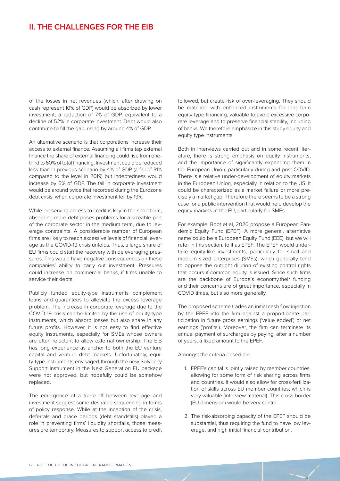of the losses in net revenues (which, after drawing on cash represent 10% of GDP) would be absorbed by lower investment, a reduction of 7% of GDP, equivalent to a decline of 52% in corporate investment. Debt would also contribute to fill the gap, rising by around 4% of GDP.

An alternative scenario is that corporations increase their access to external finance. Assuming all firms tap external finance the share of external financing could rise from onethird to 60% of total financing. Investment could be reduced less than in previous scenario by 4% of GDP (a fall of 31% compared to the level in 2019) but indebtedness would increase by 6% of GDP. The fall in corporate investment would be around twice that recorded during the Eurozone debt crisis, when corporate investment fell by 19%.

While preserving access to credit is key in the short term, absorbing more debt poses problems for a sizeable part of the corporate sector in the medium term, due to leverage constraints. A considerable number of European firms are likely to reach excessive levels of financial leverage as the COVID-19 crisis unfolds. Thus, a large share of EU firms could start the recovery with deleveraging pressures. This would have negative consequences on these companies' ability to carry out investment. Pressures could increase on commercial banks, if firms unable to service their debts.

Publicly funded equity-type instruments complement loans and guarantees to alleviate the excess leverage problem. The increase in corporate leverage due to the COVID-19 crisis can be limited by the use of equity-type instruments, which absorb losses but also share in any future profits. However, it is not easy to find effective equity instruments, especially for SMEs whose owners are often reluctant to allow external ownership. The EIB has long experience as anchor to both the EU venture capital and venture debt markets. Unfortunately, equity-type instruments envisaged through the new Solvency Support Instrument in the Next Generation EU package were not approved, but hopefully could be somehow replaced.

The emergence of a trade-off between leverage and investment suggest some desirable sequencing in terms of policy response. While at the inception of the crisis, deferrals and grace periods (debt standstills) played a role in preventing firms' liquidity shortfalls, those measures are temporary. Measures to support access to credit followed, but create risk of over-leveraging. They should be matched with enhanced instruments for long-term equity-type financing, valuable to avoid excessive corporate leverage and to preserve financial stability, including of banks. We therefore emphasize in this study equity and equity type instruments.

Both in interviews carried out and in some recent literature, there is strong emphasis on equity instruments, and the importance of significantly expanding them in the European Union, particularly during and post-COVID. There is a relative under-development of equity markets in the European Union, especially in relation to the US. It could be characterized as a market failure or more precisely a market gap. Therefore there seems to be a strong case for a public intervention that would help develop the equity markets in the EU, particularly for SMEs.

For example, Boot et al, 2020 propose a European Pandemic Equity Fund (EPEF). A more general, alternative name could be a European Equity Fund (EEE), but we will refer in this section, to it as EPEF. The EPEF would undertake equity-like investments, particularly for small and medium sized enterprises (SMEs), which generally tend to oppose the outright dilution of existing control rights that occurs if common equity is issued. Since such firms are the backbone of Europe's economy,their funding and their concerns are of great importance, especially in COVID times, but also more generally.

The proposed scheme trades an initial cash flow injection by the EPEF into the firm against a proportionate participation in future gross earnings ('value added') or net earnings ('profits'). Moreover, the firm can terminate its annual payment of surcharges by paying, after a number of years, a fixed amount to the EPEF.

Amongst the criteria posed are:

- 1. EPEF's capital is jointly raised by member countries, allowing for some form of risk sharing across firms and countries. It would also allow for cross-fertilization of skills across EU member countries, which is very valuable (interview material). This cross-border (EU dimension) would be very central
- 2. The risk-absorbing capacity of the EPEF should be substantial, thus requiring the fund to have low leverage, and high initial financial contribution.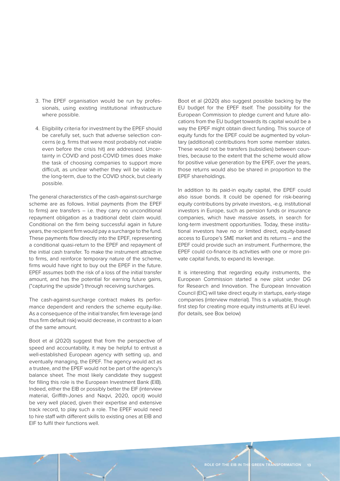- 3. The EPEF organisation would be run by professionals, using existing institutional infrastructure where possible.
- 4. Eligibility criteria for investment by the EPEF should be carefully set, such that adverse selection concerns (e.g. firms that were most probably not viable even before the crisis hit) are addressed. Uncertainty in COVID and post-COVID times does make the task of choosing companies to support more difficult, as unclear whether they will be viable in the long-term, due to the COVID shock, but clearly possible.

The general characteristics of the cash-against-surcharge scheme are as follows. Initial payments (from the EPEF to firms) are transfers – i.e. they carry no unconditional repayment obligation as a traditional debt claim would. Conditional on the firm being successful again in future years, the recipient firm would pay a surcharge to the fund. These payments flow directly into the EPEF, representing a conditional quasi-return to the EPEF and repayment of the initial cash transfer. To make the instrument attractive to firms, and reinforce temporary nature of the scheme, firms would have right to buy out the EPEF in the future. EPEF assumes both the risk of a loss of the initial transfer amount, and has the potential for earning future gains, ("capturing the upside") through receiving surcharges.

The cash-against-surcharge contract makes its performance dependent and renders the scheme equity-like. As a consequence of the initial transfer, firm leverage (and thus firm default risk) would decrease, in contrast to a loan of the same amount.

Boot et al (2020) suggest that from the perspective of speed and accountability, it may be helpful to entrust a well-established European agency with setting up, and eventually managing, the EPEF. The agency would act as a trustee, and the EPEF would not be part of the agency's balance sheet. The most likely candidate they suggest for filling this role is the European Investment Bank (EIB). Indeed, either the EIB or possibly better the EIF (interview material, Griffith-Jones and Naqvi, 2020, opcit) would be very well placed, given their expertise and extensive track record, to play such a role. The EPEF would need to hire staff with different skills to existing ones at EIB and EIF to fulfil their functions well.

Boot et al (2020) also suggest possible backing by the EU budget for the EPEF itself. The possibility for the European Commission to pledge current and future allocations from the EU budget towards its capital would be a way the EPEF might obtain direct funding. This source of equity funds for the EPEF could be augmented by voluntary (additional) contributions from some member states. These would not be transfers (subsidies) between countries, because to the extent that the scheme would allow for positive value generation by the EPEF, over the years, those returns would also be shared in proportion to the EPEF shareholdings.

In addition to its paid-in equity capital, the EPEF could also issue bonds. It could be opened for risk-bearing equity contributions by private investors, -e.g. institutional investors in Europe, such as pension funds or insurance companies, which have massive assets, in search for long-term investment opportunities. Today, these institutional investors have no or limited direct, equity-based access to Europe's SME market and its returns – and the EPEF could provide such an instrument. Furthermore, the EPEF could co-finance its activities with one or more private capital funds, to expand its leverage.

It is interesting that regarding equity instruments, the European Commission started a new pilot under DG for Research and Innovation. The European Innovation Council (EIC) will take direct equity in startups, early-stage companies (interview material). This is a valuable, though first step for creating more equity instruments at EU level. (for details, see Box below)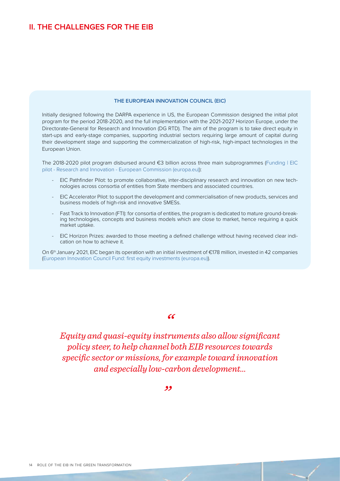#### **THE EUROPEAN INNOVATION COUNCIL (EIC)**

Initially designed following the DARPA experience in US, the European Commission designed the initial pilot program for the period 2018-2020, and the full implementation with the 2021-2027 Horizon Europe, under the Directorate-General for Research and Innovation (DG RTD). The aim of the program is to take direct equity in start-ups and early-stage companies, supporting industrial sectors requiring large amount of capital during their development stage and supporting the commercialization of high-risk, high-impact technologies in the European Union.

The 2018-2020 pilot program disbursed around €3 billion across three main subprogrammes [\(Funding | EIC](https://ec.europa.eu/research/eic/index.cfm?pg=funding)  [pilot - Research and Innovation - European Commission \(europa.eu\)\)](https://ec.europa.eu/research/eic/index.cfm?pg=funding):

- EIC Pathfinder Pilot: to promote collaborative, inter-disciplinary research and innovation on new technologies across consortia of entities from State members and associated countries.
- EIC Accelerator Pilot: to support the development and commercialisation of new products, services and business models of high-risk and innovative SMESs.
- Fast Track to Innovation (FTI): for consortia of entities, the program is dedicated to mature ground-breaking technologies, concepts and business models which are close to market, hence requiring a quick market uptake.
- EIC Horizon Prizes: awarded to those meeting a defined challenge without having received clear indication on how to achieve it.

On 6<sup>th</sup> January 2021, EIC began its operation with an initial investment of €178 million, invested in 42 companies ([European Innovation Council Fund: first equity investments \(europa.eu\)](https://ec.europa.eu/commission/presscorner/detail/en/ip_20_2530)).

#### *"*

*Equity and quasi-equity instruments also allow significant policy steer, to help channel both EIB resources towards specific sector or missions, for example toward innovation and especially low-carbon development…*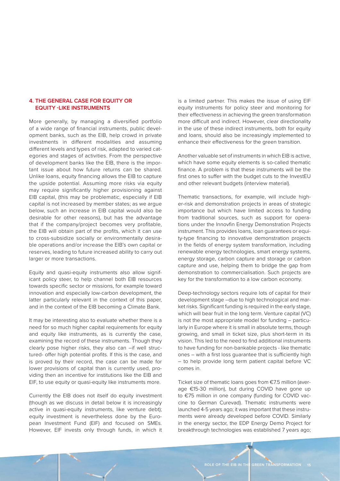#### <span id="page-16-0"></span>**4. THE GENERAL CASE FOR EQUITY OR EQUITY -LIKE INSTRUMENTS**

More generally, by managing a diversified portfolio of a wide range of financial instruments, public development banks, such as the EIB, help crowd in private investments in different modalities and assuming different levels and types of risk, adapted to varied categories and stages of activities. From the perspective of development banks like the EIB, there is the important issue about how future returns can be shared. Unlike loans, equity financing allows the EIB to capture the upside potential. Assuming more risks via equity may require significantly higher provisioning against EIB capital, (this may be problematic, especially if EIB capital is not increased by member states; as we argue below, such an increase in EIB capital would also be desirable for other reasons), but has the advantage that if the company/project becomes very profitable, the EIB will obtain part of the profits, which it can use to cross-subsidize socially or environmentally desirable operations and/or increase the EIB's own capital or reserves, leading to future increased ability to carry out larger or more transactions.

Equity and quasi-equity instruments also allow significant policy steer, to help channel both EIB resources towards specific sector or missions, for example toward innovation and especially low-carbon development, the latter particularly relevant in the context of this paper, and in the context of the EIB becoming a Climate Bank.

It may be interesting also to evaluate whether there is a need for so much higher capital requirements for equity and equity like instruments, as is currently the case, examining the record of these instruments. Though they clearly pose higher risks, they also can –if well structured- offer high potential profits. If this is the case, and is proved by their record, the case can be made for lower provisions of capital than is currently used, providing then an incentive for institutions like the EIB and EIF, to use equity or quasi-equity like instruments more.

Currently the EIB does not itself do equity investment (though as we discuss in detail below it is increasingly active in quasi-equity instruments, like venture debt); equity investment is nevertheless done by the European Investment Fund (EIF) and focused on SMEs. However, EIF invests only through funds, in which it is a limited partner. This makes the issue of using EIF equity instruments for policy steer and monitoring for their effectiveness in achieving the green transformation more difficult and indirect. However, clear directionality in the use of these indirect instruments, both for equity and loans, should also be increasingly implemented to enhance their effectiveness for the green transition.

Another valuable set of instruments in which EIB is active, which have some equity elements is so-called thematic finance. A problem is that these instruments will be the first ones to suffer with the budget cuts to the InvestEU and other relevant budgets (interview material).

Thematic transactions, for example, will include higher-risk and demonstration projects in areas of strategic importance but which have limited access to funding from traditional sources, such as support for operations under the Innovfin Energy Demonstration Projects instrument. This provides loans, loan guarantees or equity-type financing to innovative demonstration projects in the fields of energy system transformation, including renewable energy technologies, smart energy systems, energy storage, carbon capture and storage or carbon capture and use, helping them to bridge the gap from demonstration to commercialisation. Such projects are key for the transformation to a low carbon economy.

Deep-technology sectors require lots of capital for their development stage –due to high technological and market risks. Significant funding is required in the early stage, which will bear fruit in the long term. Venture capital (VC) is not the most appropriate model for funding – particularly in Europe where it is small in absolute terms, though growing, and small in ticket size, plus short-term in its vision. This led to the need to find additional instruments to have funding for non-bankable projects - like thematic ones – with a first loss guarantee that is sufficiently high – to help provide long term patient capital before VC comes in.

Ticket size of thematic loans goes from €7.5 million (average €15-30 million), but during COVID have gone up to €75 million in one company (funding for COVID vaccine to German Curevad). Thematic instruments were launched 4-5 years ago; it was important that these instruments were already developed before COVID. Similarly in the energy sector, the EDP Energy Demo Project for breakthrough technologies was established 7 years ago;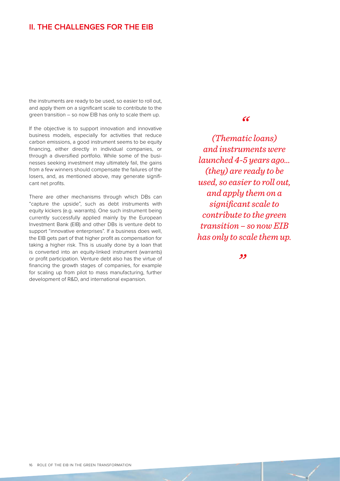the instruments are ready to be used, so easier to roll out, and apply them on a significant scale to contribute to the green transition – so now EIB has only to scale them up.

If the objective is to support innovation and innovative business models, especially for activities that reduce carbon emissions, a good instrument seems to be equity financing, either directly in individual companies, or through a diversified portfolio. While some of the businesses seeking investment may ultimately fail, the gains from a few winners should compensate the failures of the losers, and, as mentioned above, may generate significant net profits.

There are other mechanisms through which DBs can "capture the upside", such as debt instruments with equity kickers (e.g. warrants). One such instrument being currently successfully applied mainly by the European Investment Bank (EIB) and other DBs is venture debt to support "innovative enterprises". If a business does well, the EIB gets part of that higher profit as compensation for taking a higher risk. This is usually done by a loan that is converted into an equity-linked instrument (warrants) or profit participation. Venture debt also has the virtue of financing the growth stages of companies, for example for scaling up from pilot to mass manufacturing, further development of R&D, and international expansion.

### *"*

*(Thematic loans) and instruments were launched 4-5 years ago… (they) are ready to be used, so easier to roll out, and apply them on a significant scale to contribute to the green transition – so now EIB has only to scale them up.*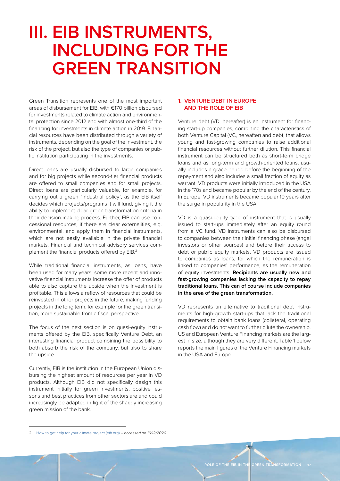# <span id="page-18-0"></span>**III. EIB INSTRUMENTS, INCLUDING FOR THE GREEN TRANSITION**

Green Transition represents one of the most important areas of disbursement for EIB, with €170 billion disbursed for investments related to climate action and environmental protection since 2012 and with almost one-third of the financing for investments in climate action in 2019. Financial resources have been distributed through a variety of instruments, depending on the goal of the investment, the risk of the project, but also the type of companies or public institution participating in the investments.

Direct loans are usually disbursed to large companies and for big projects while second-tier financial products are offered to small companies and for small projects. Direct loans are particularly valuable, for example, for carrying out a green "industrial policy", as the EIB itself decides which projects/programs it will fund, giving it the ability to implement clear green transformation criteria in their decision-making process. Further, EIB can use concessional resources, if there are clear externalities, e.g. environmental, and apply them in financial instruments, which are not easily available in the private financial markets. Financial and technical advisory services complement the financial products offered by EIB.<sup>2</sup>

While traditional financial instruments, as loans, have been used for many years, some more recent and innovative financial instruments increase the offer of products able to also capture the upside when the investment is profitable. This allows a reflow of resources that could be reinvested in other projects in the future, making funding projects in the long term, for example for the green transition, more sustainable from a fiscal perspective.

The focus of the next section is on quasi-equity instruments offered by the EIB, specifically Venture Debt, an interesting financial product combining the possibility to both absorb the risk of the company, but also to share the upside.

Currently, EIB is the institution in the European Union disbursing the highest amount of resources per year in VD products. Although EIB did not specifically design this instrument initially for green investments, positive lessons and best practices from other sectors are and could increasingly be adapted in light of the sharply increasing green mission of the bank.

#### **1. VENTURE DEBT IN EUROPE AND THE ROLE OF EIB**

Venture debt (VD, hereafter) is an instrument for financing start-up companies, combining the characteristics of both Venture Capital (VC, hereafter) and debt, that allows young and fast-growing companies to raise additional financial resources without further dilution. This financial instrument can be structured both as short-term bridge loans and as long-term and growth-oriented loans, usually includes a grace period before the beginning of the repayment and also includes a small fraction of equity as warrant. VD products were initially introduced in the USA in the '70s and became popular by the end of the century. In Europe, VD instruments became popular 10 years after the surge in popularity in the USA.

VD is a quasi-equity type of instrument that is usually issued to start-ups immediately after an equity round from a VC fund. VD instruments can also be disbursed to companies between their initial financing phase (angel investors or other sources) and before their access to debt or public equity markets. VD products are issued to companies as loans, for which the remuneration is linked to companies' performance, as the remuneration of equity investments. **Recipients are usually new and fast-growing companies lacking the capacity to repay traditional loans. This can of course include companies in the area of the green transformation.**

VD represents an alternative to traditional debt instruments for high-growth start-ups that lack the traditional requirements to obtain bank loans (collateral, operating cash flow) and do not want to further dilute the ownership. US and European Venture Financing markets are the largest in size, although they are very different. Table 1 below reports the main figures of the Venture Financing markets in the USA and Europe.

<sup>2</sup> [How to get help for your climate project \(eib.org\)](https://www.eib.org/en/about/priorities/climate-action/get-support/index.htm) – *accessed on 16/12/2020*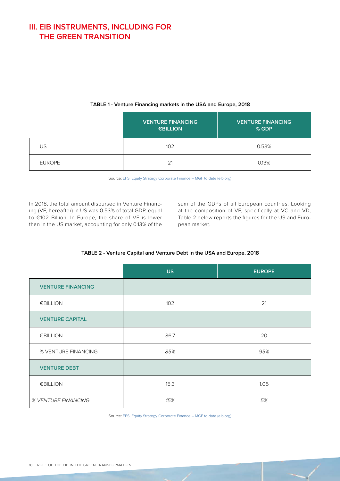### <span id="page-19-0"></span>**III. EIB INSTRUMENTS, INCLUDING FOR THE GREEN TRANSITION**

|               | <b>VENTURE FINANCING</b><br><b>€BILLION</b> | <b>VENTURE FINANCING</b><br>% GDP |
|---------------|---------------------------------------------|-----------------------------------|
| US            | 102                                         | 0.53%                             |
| <b>EUROPE</b> | 21                                          | 0.13%                             |

#### **TABLE 1 - Venture Financing markets in the USA and Europe, 2018**

Source: [EFSI Equity Strategy Corporate Finance – MGF to date \(eib.org\)](https://www.eib.org/attachments/general/events/egff-slides.pdf)

In 2018, the total amount disbursed in Venture Financing (VF, hereafter) in US was 0.53% of total GDP, equal to €102 Billion. In Europe, the share of VF is lower than in the US market, accounting for only 0.13% of the

sum of the GDPs of all European countries. Looking at the composition of VF, specifically at VC and VD, Table 2 below reports the figures for the US and European market.

#### **TABLE 2 - Venture Capital and Venture Debt in the USA and Europe, 2018**

|                          | <b>US</b> | <b>EUROPE</b> |
|--------------------------|-----------|---------------|
| <b>VENTURE FINANCING</b> |           |               |
| €BILLION                 | 102       | 21            |
| <b>VENTURE CAPITAL</b>   |           |               |
| €BILLION                 | 86.7      | 20            |
| % VENTURE FINANCING      | 85%       | 95%           |
| <b>VENTURE DEBT</b>      |           |               |
| €BILLION                 | 15.3      | 1.05          |
| % VENTURE FINANCING      | 15%       | 5%            |

Source: [EFSI Equity Strategy Corporate Finance – MGF to date \(eib.org\)](https://www.eib.org/attachments/general/events/egff-slides.pdf)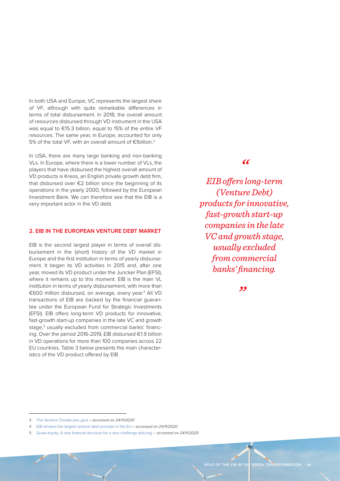<span id="page-20-0"></span>In both USA and Europe, VC represents the largest share of VF, although with quite remarkable differences in terms of total disbursement. In 2018, the overall amount of resources disbursed through VD instrument in the USA was equal to €15.3 billion, equal to 15% of the entire VF resources. The same year, in Europe, accounted for only 5% of the total VF, with an overall amount of €1billion.3

In USA, there are many large banking and non-banking VLs. In Europe, where there is a lower number of VLs, the players that have disbursed the highest overall amount of VD products is Kreos, an English private growth debt firm, that disbursed over €2 billion since the beginning of its operations in the yearly 2000, followed by the European Investment Bank. We can therefore see that the EIB is a very important actor in the VD debt.

#### **2. EIB IN THE EUROPEAN VENTURE DEBT MARKET**

EIB is the second largest player in terms of overall disbursement in the (short) history of the VD market in Europe and the first institution in terms of yearly disbursement. It began its VD activities in 2015 and, after one year, moved its VD product under the Juncker Plan (EFSI), where it remains up to this moment. EIB is the main VL institution in terms of yearly disbursement, with more than €600 million disbursed, on average, every year.<sup>4</sup> All VD transactions of EIB are backed by the financial guarantee under the European Fund for Strategic Investments (EFSI). EIB offers long-term VD products for innovative, fast-growth start-up companies in the late VC and growth stage.<sup>5</sup> usually excluded from commercial banks' financing. Over the period 2016-2019, EIB disbursed €1.9 billion in VD operations for more than 100 companies across 22 EU countries. Table 3 below presents the main characteristics of the VD product offered by EIB.

#### *"*

*EIB offers long-term (Venture Debt) products for innovative, fast-growth start-up companies in the late VC and growth stage, usually excluded from commercial banks' financing.*

<sup>3</sup> [The Venture Climate \(sec.gov\)](https://www.sec.gov/spotlight/sbcfac/2020-02-04-presentation-pitchbook-venture-climate.pdf) – *accessed on 24/11/2020*

<sup>4</sup> EIB remains the largest venture debt provider in the EU – *accessed on 24/11/2020*

<sup>5</sup> [Quasi-equity: A new financial structure for a new challenge \(eib.org\)](https://www.eib.org/en/stories/quasi-equity-a-new-financial-structure-for-a-new-challenge) – *accessed on 24/11/2020*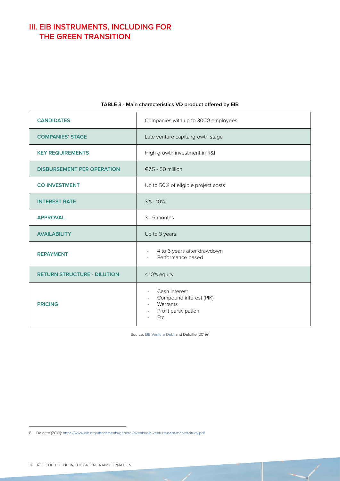## <span id="page-21-0"></span>**III. EIB INSTRUMENTS, INCLUDING FOR THE GREEN TRANSITION**

| <b>CANDIDATES</b>                  | Companies with up to 3000 employees                                                                                                                    |
|------------------------------------|--------------------------------------------------------------------------------------------------------------------------------------------------------|
| <b>COMPANIES' STAGE</b>            | Late venture capital/growth stage                                                                                                                      |
| <b>KEY REQUIREMENTS</b>            | High growth investment in R&I                                                                                                                          |
| <b>DISBURSEMENT PER OPERATION</b>  | €7.5 - 50 million                                                                                                                                      |
| <b>CO-INVESTMENT</b>               | Up to 50% of eligible project costs                                                                                                                    |
| <b>INTEREST RATE</b>               | $3\% - 10\%$                                                                                                                                           |
| <b>APPROVAL</b>                    | 3 - 5 months                                                                                                                                           |
| <b>AVAILABILITY</b>                | Up to 3 years                                                                                                                                          |
| <b>REPAYMENT</b>                   | 4 to 6 years after drawdown<br>$\overline{\phantom{a}}$<br>Performance based<br>$\bar{a}$                                                              |
| <b>RETURN STRUCTURE - DILUTION</b> | <10% equity                                                                                                                                            |
| <b>PRICING</b>                     | Cash Interest<br>$\sim$<br>Compound interest (PIK)<br>$\overline{\phantom{a}}$<br>Warrants<br>Profit participation<br>$\overline{\phantom{a}}$<br>Etc. |

#### **TABLE 3 - Main characteristics VD product offered by EIB**

Source: [EIB Venture Debt](https://www.eib.org/attachments/general/events/eib-venture-debt-oct-19.pdf) and Deloitte (2019)<sup>6</sup>

<sup>6</sup> Deloitte (2019):<https://www.eib.org/attachments/general/events/eib-venture-debt-market-study.pdf>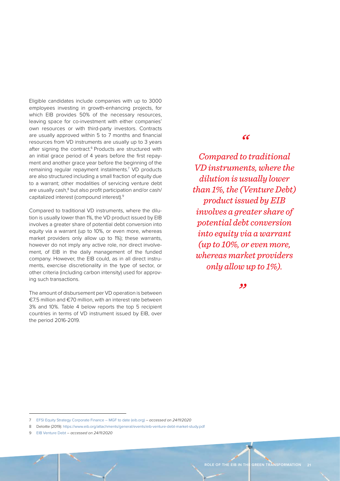Eligible candidates include companies with up to 3000 employees investing in growth-enhancing projects, for which EIB provides 50% of the necessary resources, leaving space for co-investment with either companies' own resources or with third-party investors. Contracts are usually approved within 5 to 7 months and financial resources from VD instruments are usually up to 3 years after signing the contract.<sup>6</sup> Products are structured with an initial grace period of 4 years before the first repayment and another grace year before the beginning of the remaining regular repayment instalments.<sup>7</sup> VD products are also structured including a small fraction of equity due to a warrant; other modalities of servicing venture debt are usually cash,<sup>8</sup> but also profit participation and/or cash/ capitalized interest (compound interest).9

Compared to traditional VD instruments, where the dilution is usually lower than 1%, the VD product issued by EIB involves a greater share of potential debt conversion into equity via a warrant (up to 10%, or even more, whereas market providers only allow up to 1%); these warrants, however do not imply any active role, nor direct involvement, of EIB in the daily management of the funded company. However, the EIB could, as in all direct instruments, exercise discretionality in the type of sector, or other criteria (including carbon intensity) used for approving such transactions.

The amount of disbursement per VD operation is between €7.5 million and €70 million, with an interest rate between 3% and 10%. Table 4 below reports the top 5 recipient countries in terms of VD instrument issued by EIB, over the period 2016-2019.

### *"*

*Compared to traditional VD instruments, where the dilution is usually lower than 1%, the (Venture Debt) product issued by EIB involves a greater share of potential debt conversion into equity via a warrant (up to 10%, or even more, whereas market providers only allow up to 1%).*

<sup>7</sup> [EFSI Equity Strategy Corporate Finance – MGF to date \(eib.org\)](https://www.eib.org/attachments/general/events/idff-presentation-by-gergely-krajcsi.pdf) – *accessed on 24/11/2020*

<sup>8</sup> Deloitte (2019):<https://www.eib.org/attachments/general/events/eib-venture-debt-market-study.pdf>

<sup>9</sup> [EIB Venture Debt](https://www.eib.org/attachments/general/events/eib-venture-debt-oct-19.pdf) – *accessed on 24/11/2020*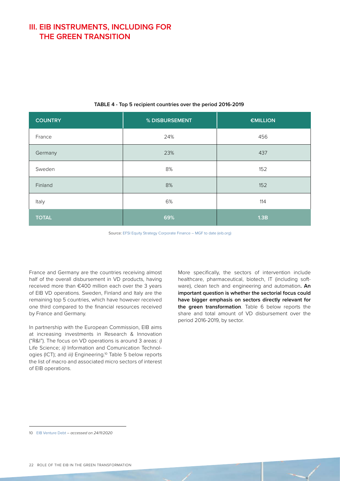### <span id="page-23-0"></span>**III. EIB INSTRUMENTS, INCLUDING FOR THE GREEN TRANSITION**

| <b>COUNTRY</b> | % DISBURSEMENT | €MILLION |
|----------------|----------------|----------|
| France         | 24%            | 456      |
| Germany        | 23%            | 437      |
| Sweden         | 8%             | 152      |
| Finland        | 8%             | 152      |
| Italy          | 6%             | 114      |
| <b>TOTAL</b>   | 69%            | 1.3B     |

#### **TABLE 4 - Top 5 recipient countries over the period 2016-2019**

Source: [EFSI Equity Strategy Corporate Finance – MGF to date \(eib.org\)](https://www.eib.org/attachments/general/events/idff-presentation-by-gergely-krajcsi.pdf)

France and Germany are the countries receiving almost half of the overall disbursement in VD products, having received more than €400 million each over the 3 years of EIB VD operations. Sweden, Finland and Italy are the remaining top 5 countries, which have however received one third compared to the financial resources received by France and Germany.

In partnership with the European Commission, EIB aims at increasing investments in Research & Innovation ("R&I"). The focus on VD operations is around 3 areas: *i)* Life Science; *ii)* Information and Comunication Technologies (ICT); and *iii)* Engineering.10 Table 5 below reports the list of macro and associated micro sectors of interest of EIB operations.

More specifically, the sectors of intervention include healthcare, pharmaceutical, biotech, IT (including software), clean tech and engineering and automation**. An important question is whether the sectorial focus could have bigger emphasis on sectors directly relevant for the green transformation**. Table 6 below reports the share and total amount of VD disbursement over the period 2016-2019, by sector.

<sup>10</sup> [EIB Venture Debt](https://www.eib.org/attachments/general/events/eib-venture-debt-oct-19.pdf) – *accessed on 24/11/2020*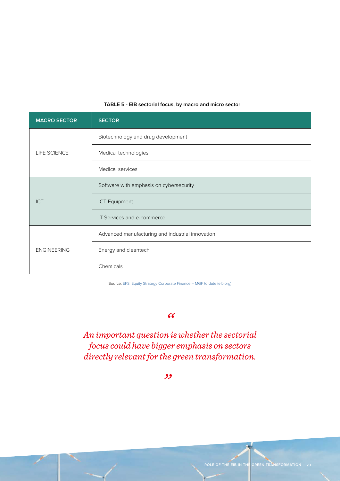<span id="page-24-0"></span>

| <b>MACRO SECTOR</b> | <b>SECTOR</b>                                    |
|---------------------|--------------------------------------------------|
| LIFE SCIENCE        | Biotechnology and drug development               |
|                     | Medical technologies                             |
|                     | Medical services                                 |
| <b>ICT</b>          | Software with emphasis on cybersecurity          |
|                     | <b>ICT Equipment</b>                             |
|                     | IT Services and e-commerce                       |
| <b>ENGINEERING</b>  | Advanced manufacturing and industrial innovation |
|                     | Energy and cleantech                             |
|                     | Chemicals                                        |

#### **TABLE 5 - EIB sectorial focus, by macro and micro sector**

Source: [EFSI Equity Strategy Corporate Finance – MGF to date \(eib.org\)](https://www.eib.org/attachments/general/events/idff-presentation-by-gergely-krajcsi.pdf)

#### *"*

*An important question is whether the sectorial focus could have bigger emphasis on sectors directly relevant for the green transformation.*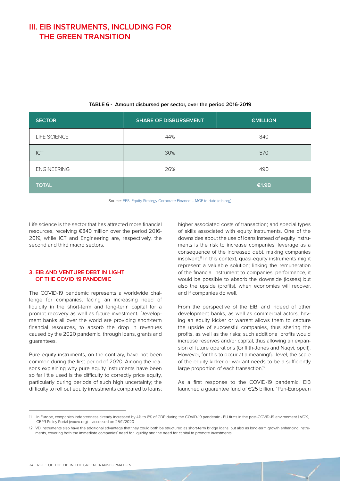### <span id="page-25-0"></span>**III. EIB INSTRUMENTS, INCLUDING FOR THE GREEN TRANSITION**

| <b>SECTOR</b>      | <b>SHARE OF DISBURSEMENT</b> | <b>€MILLION</b> |
|--------------------|------------------------------|-----------------|
| LIFE SCIENCE       | 44%                          | 840             |
| <b>ICT</b>         | 30%                          | 570             |
| <b>ENGINEERING</b> | 26%                          | 490             |
| <b>TOTAL</b>       |                              | €1.9B           |

#### **TABLE 6 - Amount disbursed per sector, over the period 2016-2019**

Source: [EFSI Equity Strategy Corporate Finance – MGF to date \(eib.org\)](https://www.eib.org/attachments/general/events/idff-presentation-by-gergely-krajcsi.pdf)

Life science is the sector that has attracted more financial resources, receiving €840 million over the period 2016- 2019, while ICT and Engineering are, respectively, the second and third macro sectors.

#### **3. EIB AND VENTURE DEBT IN LIGHT OF THE COVID-19 PANDEMIC**

The COVID-19 pandemic represents a worldwide challenge for companies, facing an increasing need of liquidity in the short-term and long-term capital for a prompt recovery as well as future investment. Development banks all over the world are providing short-term financial resources, to absorb the drop in revenues caused by the 2020 pandemic, through loans, grants and guarantees.

Pure equity instruments, on the contrary, have not been common during the first period of 2020. Among the reasons explaining why pure equity instruments have been so far little used is the difficulty to correctly price equity, particularly during periods of such high uncertainty; the difficulty to roll out equity investments compared to loans; higher associated costs of transaction; and special types of skills associated with equity instruments. One of the downsides about the use of loans instead of equity instruments is the risk to increase companies' leverage as a consequence of the increased debt, making companies insolvent.<sup>11</sup> In this context, quasi-equity instruments might represent a valuable solution; linking the remuneration of the financial instrument to companies' performance, it would be possible to absorb the downside (losses) but also the upside (profits), when economies will recover, and if companies do well.

From the perspective of the EIB, and indeed of other development banks, as well as commercial actors, having an equity kicker or warrant allows them to capture the upside of successful companies, thus sharing the profits, as well as the risks; such additional profits would increase reserves and/or capital, thus allowing an expansion of future operations (Griffith-Jones and Naqvi, opcit). However, for this to occur at a meaningful level, the scale of the equity kicker or warrant needs to be a sufficiently large proportion of each transaction.<sup>12</sup>

As a first response to the COVID-19 pandemic, EIB launched a guarantee fund of €25 billion, "Pan-European

<sup>11</sup> In Europe, companies indebtedness already increased by 4% to 6% of GDP during the COVID-19 pandemic - EU firms in the post-COVID-19 environment | VOX, CEPR Policy Portal (voxeu.org) – accessed on 25/11/2020

<sup>12</sup> VD instruments also have the additional advantage that they could both be structured as short-term bridge loans, but also as long-term growth enhancing instruments, covering both the immediate companies' need for liquidity and the need for capital to promote investments.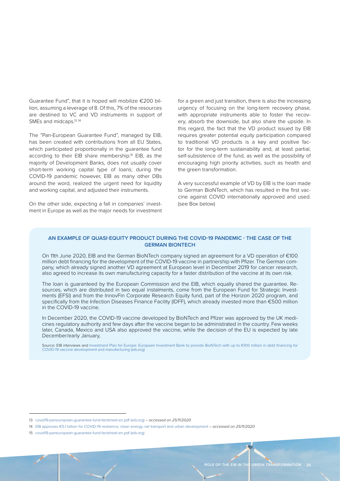Guarantee Fund", that it is hoped will mobilize €200 billion, assuming a leverage of 8. Of this, 7% of the resources are destined to VC and VD instruments in support of SMEs and midcaps.<sup>13,14</sup>

The "Pan-European Guarantee Fund", managed by EIB, has been created with contributions from all EU States, which participated proportionally in the guarantee fund according to their EIB share membership.15 EIB, as the majority of Development Banks, does not usually cover short-term working capital type of loans; during the COVID-19 pandemic however, EIB as many other DBs around the word, realized the urgent need for liquidity and working capital, and adjusted their instruments.

On the other side, expecting a fall in companies' investment in Europe as well as the major needs for investment for a green and just transition, there is also the increasing urgency of focusing on the long-term recovery phase, with appropriate instruments able to foster the recovery, absorb the downside, but also share the upside. In this regard, the fact that the VD product issued by EIB requires greater potential equity participation compared to traditional VD products is a key and positive factor for the long-term sustainability and, at least partial, self-subsistence of the fund, as well as the possibility of encouraging high priority activities, such as health and the green transformation.

A very successful example of VD by EIB is the loan made to German BioNTech, which has resulted in the first vaccine against COVID internationally approved and used. (see Box below)

#### **AN EXAMPLE OF QUASI-EQUITY PRODUCT DURING THE COVID-19 PANDEMIC - THE CASE OF THE GERMAN BIONTECH**

On 11th June 2020, EIB and the German BioNTech company signed an agreement for a VD operation of €100 million debt financing for the development of the COVID-19 vaccine in partnership with Pfizer. The German company, which already signed another VD agreement at European level in December 2019 for cancer research, also agreed to increase its own manufacturing capacity for a faster distribution of the vaccine at its own risk.

The loan is guaranteed by the European Commission and the EIB, which equally shared the guarantee. Resources, which are distributed in two equal instalments, come from the European Fund for Strategic Investments (EFSI) and from the InnovFin Corporate Research Equity fund, part of the Horizon 2020 program, and specifically from the Infection Diseases Finance Facility (IDFF), which already invested more than €500 million in the COVID-19 vaccine.

In December 2020, the COVID-19 vaccine developed by BioNTech and Pfizer was approved by the UK medicines regulatory authority and few days after the vaccine began to be administrated in the country. Few weeks later, Canada, Mexico and USA also approved the vaccine, while the decision of the EU is expected by late December/early January,

Source: EIB interviews and Investment Plan for Europe: European Investment Bank to provide BioNTech with up to €100 million in debt financing for [COVID-19 vaccine development and manufacturing \(eib.org\)](https://www.eib.org/en/press/all/2020-144-eib-to-provide-biontech-with-up-to-eur-100-million-in-debt-financing-for-covid-19-vaccine-development-and-manufacturing) 

<sup>13</sup> [covid19-paneuropean-guarantee-fund-factsheet-en.pdf \(eib.org\)](https://www.eib.org/attachments/press/covid19-paneuropean-guarantee-fund-factsheet-en.pdf) – *accessed on 25/11/2020*

<sup>14</sup> [EIB approves €5.1 billion for COVID-19 resilience, clean energy, rail transport and urban development](https://www.eib.org/en/press/all/2020-274-eib-approves-eur-5-1-billion-for-covid-19-resilience-clean-energy-rail-transport-and-urban-development) – *accessed on 25/11/2020*

<sup>15</sup> [covid19-paneuropean-guarantee-fund-factsheet-en.pdf \(eib.org\)](https://www.eib.org/attachments/press/covid19-paneuropean-guarantee-fund-factsheet-en.pdf)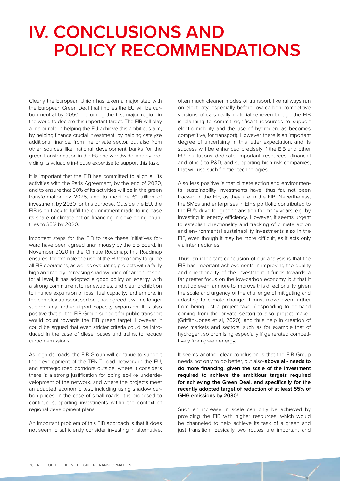# <span id="page-27-0"></span>**IV. CONCLUSIONS AND POLICY RECOMMENDATIONS**

Clearly the European Union has taken a major step with the European Green Deal that implies the EU will be carbon neutral by 2050, becoming the first major region in the world to declare this important target. The EIB will play a major role in helping the EU achieve this ambitious aim, by helping finance crucial investment, by helping catalyze additional finance, from the private sector, but also from other sources like national development banks for the green transformation in the EU and worldwide, and by providing its valuable in-house expertise to support this task.

It is important that the EIB has committed to align all its activities with the Paris Agreement, by the end of 2020, and to ensure that 50% of its activities will be in the green transformation by 2025, and to mobilize €1 trillion of investment by 2030 for this purpose. Outside the EU, the EIB is on track to fulfill the commitment made to increase its share of climate action financing in developing countries to 35% by 2020.

Important steps for the EIB to take these initiatives forward have been agreed unanimously by the EIB Board, in November 2020 in the Climate Roadmap; this Roadmap ensures, for example the use of the EU taxonomy to guide all EIB operations, as well as evaluating projects with a fairly high and rapidly increasing shadow price of carbon; at sectorial level, it has adopted a good policy on energy, with a strong commitment to renewables, and clear prohibition to finance expansion of fossil fuel capacity; furthermore, in the complex transport sector, it has agreed it will no longer support any further airport capacity expansion. It is also positive that all the EIB Group support for public transport would count towards the EIB green target. However, it could be argued that even stricter criteria could be introduced in the case of diesel buses and trains, to reduce carbon emissions.

As regards roads, the EIB Group will continue to support the development of the TEN-T road network in the EU, and strategic road corridors outside, where it considers there is a strong justification for doing so-like underdevelopment of the network, and where the projects meet an adapted economic test, including using shadow carbon prices. In the case of small roads, it is proposed to continue supporting investments within the context of regional development plans.

An important problem of this EIB approach is that it does not seem to sufficiently consider investing in alternative, often much cleaner modes of transport, like railways run on electricity, especially before low carbon competitive versions of cars really materialize (even though the EIB is planning to commit significant resources to support electro-mobility and the use of hydrogen, as becomes competitive, for transport). However, there is an important degree of uncertainty in this latter expectation, and its success will be enhanced precisely if the EIB and other EU institutions dedicate important resources, (financial and other) to R&D, and supporting high-risk companies, that will use such frontier technologies.

Also less positive is that climate action and environmental sustainability investments have, thus far, not been tracked in the EIF, as they are in the EIB. Nevertheless, the SMEs and enterprises in EIF's portfolio contributed to the EU's drive for green transition for many years, e.g. by investing in energy efficiency. However, it seems urgent to establish directionality and tracking of climate action and environmental sustainability investments also in the EIF, even though it may be more difficult, as it acts only via intermediaries.

Thus, an important conclusion of our analysis is that the EIB has important achievements in improving the quality and directionality of the investment it funds towards a far greater focus on the low-carbon economy, but that it must do even far more to improve this directionality, given the scale and urgency of the challenge of mitigating and adapting to climate change. It must move even further from being just a project taker (responding to demand coming from the private sector) to also project maker. (Griffith-Jones et al, 2020), and thus help in creation of new markets and sectors, such as for example that of hydrogen, so promising especially if generated competitively from green energy.

It seems another clear conclusion is that the EIB Group needs not only to do better, but also-**above all- needs to do more financing, given the scale of the investment required to achieve the ambitious targets required for achieving the Green Deal, and specifically for the recently adopted target of reduction of at least 55% of GHG emissions by 2030**!

Such an increase in scale can only be achieved by providing the EIB with higher resources, which would be channeled to help achieve its task of a green and just transition. Basically two routes are important and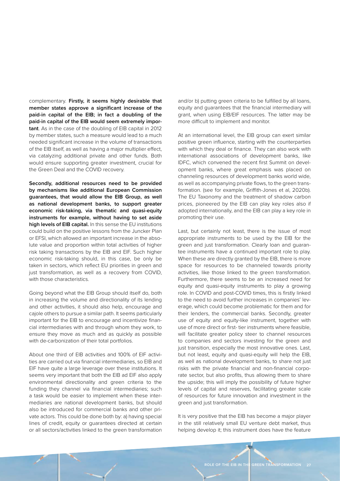complementary. **Firstly, it seems highly desirable that member states approve a significant increase of the paid-in capital of the EIB; in fact a doubling of the paid-in capital of the EIB would seem extremely important**. As in the case of the doubling of EIB capital in 2012 by member states, such a measure would lead to a much needed significant increase in the volume of transactions of the EIB itself, as well as having a major multiplier effect, via catalyzing additional private and other funds. Both would ensure supporting greater investment, crucial for the Green Deal and the COVID recovery.

**Secondly, additional resources need to be provided by mechanisms like additional European Commission guarantees, that would allow the EIB Group, as well as national development banks, to support greater economic risk-taking, via thematic and quasi-equity instruments for example, without having to set aside high levels of EIB capital.** In this sense the EU institutions could build on the positive lessons from the Juncker Plan or EFSI, which allowed an important increase in the absolute value and proportion within total activities of higher risk taking transactions by the EIB and EIF. Such higher economic risk-taking should, in this case, be only be taken in sectors, which reflect EU priorities in green and just transformation, as well as a recovery from COVID, with those characteristics.

Going beyond what the EIB Group should itself do, both in increasing the volume and directionality of its lending and other activities, it should also help, encourage and cajole others to pursue a similar path. It seems particularly important for the EIB to encourage and incentivize financial intermediaries with and through whom they work, to ensure they move as much and as quickly as possible with de-carbonization of their total portfolios.

About one third of EIB activities and 100% of EIF activities are carried out via financial intermediaries, so EIB and EIF have quite a large leverage over these institutions. It seems very important that both the EIB ad EIF also apply environmental directionality and green criteria to the funding they channel via financial intermediaries; such a task would be easier to implement when these intermediaries are national development banks, but should also be introduced for commercial banks and other private actors. This could be done both by: a) having special lines of credit, equity or guarantees directed at certain or all sectors/activities linked to the green transformation

and/or b) putting green criteria to be fulfilled by all loans, equity and guarantees that the financial intermediary will grant, when using EIB/EIF resources. The latter may be more difficult to implement and monitor.

At an international level, the EIB group can exert similar positive green influence, starting with the counterparties with which they deal or finance. They can also work with international associations of development banks, like IDFC, which convened the recent first Summit on development banks, where great emphasis was placed on channeling resources of development banks world wide, as well as accompanying private flows, to the green transformation. (see for example, Griffith-Jones et al, 2020b). The EU Taxonomy and the treatment of shadow carbon prices, pioneered by the EIB can play key roles also if adopted internationally, and the EIB can play a key role in promoting their use.

Last, but certainly not least, there is the issue of most appropriate instruments to be used by the EIB for the green and just transformation. Clearly loan and guarantee instruments have a continued important role to play. When these are directly granted by the EIB, there is more space for resources to be channeled towards priority activities, like those linked to the green transformation. Furthermore, there seems to be an increased need for equity and quasi-equity instruments to play a growing role. In COVID and post-COVID times, this is firstly linked to the need to avoid further increases in companies' leverage, which could become problematic for them and for their lenders, the commercial banks. Secondly, greater use of equity and equity-like instrument, together with use of more direct or first- tier instruments where feasible, will facilitate greater policy steer to channel resources to companies and sectors investing for the green and just transition, especially the most innovative ones. Last, but not least, equity and quasi-equity will help the EIB, as well as national development banks, to share not just risks with the private financial and non-financial corporate sector, but also profits, thus allowing them to share the upside; this will imply the possibility of future higher levels of capital and reserves, facilitating greater scale of resources for future innovation and investment in the green and just transformation.

It is very positive that the EIB has become a major player in the still relatively small EU venture debt market, thus helping develop it; this instrument does have the feature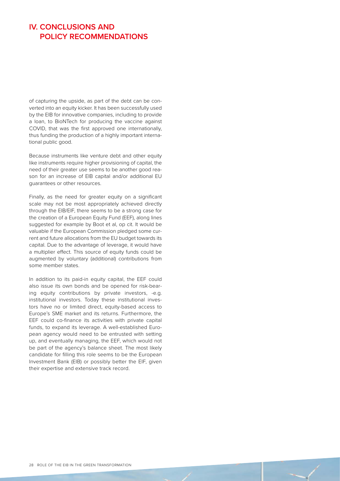### **IV. CONCLUSIONS AND POLICY RECOMMENDATIONS**

of capturing the upside, as part of the debt can be converted into an equity kicker. It has been successfully used by the EIB for innovative companies, including to provide a loan, to BioNTech for producing the vaccine against COVID, that was the first approved one internationally, thus funding the production of a highly important international public good.

Because instruments like venture debt and other equity like instruments require higher provisioning of capital, the need of their greater use seems to be another good reason for an increase of EIB capital and/or additional EU guarantees or other resources.

Finally, as the need for greater equity on a significant scale may not be most appropriately achieved directly through the EIB/EIF, there seems to be a strong case for the creation of a European Equity Fund (EEF), along lines suggested for example by Boot et al, op cit. It would be valuable if the European Commission pledged some current and future allocations from the EU budget towards its capital. Due to the advantage of leverage, it would have a multiplier effect. This source of equity funds could be augmented by voluntary (additional) contributions from some member states.

In addition to its paid-in equity capital, the EEF could also issue its own bonds and be opened for risk-bearing equity contributions by private investors, -e.g. institutional investors. Today these institutional investors have no or limited direct, equity-based access to Europe's SME market and its returns. Furthermore, the EEF could co-finance its activities with private capital funds, to expand its leverage. A well-established European agency would need to be entrusted with setting up, and eventually managing, the EEF, which would not be part of the agency's balance sheet. The most likely candidate for filling this role seems to be the European Investment Bank (EIB) or possibly better the EIF, given their expertise and extensive track record.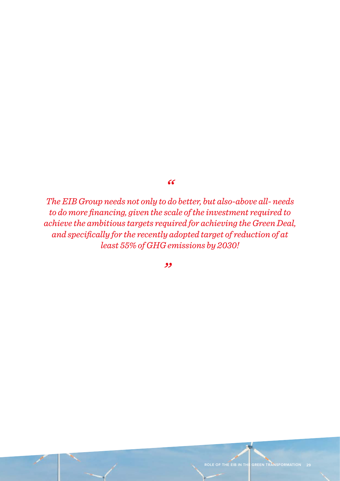*"*

*The EIB Group needs not only to do better, but also-above all- needs to do more financing, given the scale of the investment required to achieve the ambitious targets required for achieving the Green Deal, and specifically for the recently adopted target of reduction of at least 55% of GHG emissions by 2030!*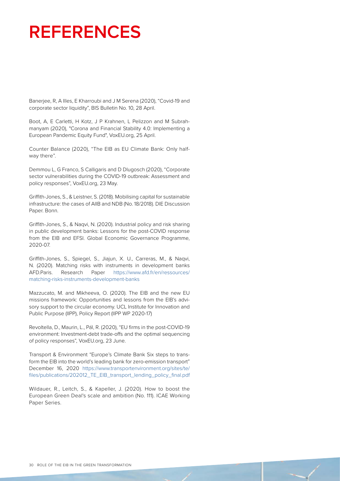# <span id="page-31-0"></span>**REFERENCES**

Banerjee, R, A Illes, E Kharroubi and J M Serena (2020), "Covid-19 and corporate sector liquidity", BIS Bulletin No. 10, 28 April.

Boot, A, E Carletti, H Kotz, J P Krahnen, L Pelizzon and M Subrahmanyam (2020), "Corona and Financial Stability 4.0: Implementing a European Pandemic Equity Fund", VoxEU.org, 25 April.

Counter Balance (2020), "The EIB as EU Climate Bank: Only halfway there".

Demmou L, G Franco, S Calligaris and D Dlugosch (2020), "Corporate sector vulnerabilities during the COVID-19 outbreak: Assessment and policy responses", VoxEU.org, 23 May.

Griffith-Jones, S., & Leistner, S. (2018). Mobilising capital for sustainable infrastructure: the cases of AIIB and NDB (No. 18/2018). DIE Discussion Paper. Bonn.

Griffith-Jones, S., & Naqvi, N. (2020). Industrial policy and risk sharing in public development banks: Lessons for the post-COVID response from the EIB and EFSI. Global Economic Governance Programme, 2020-07.

Griffith-Jones, S., Spiegel, S., Jiajun, X. U., Carreras, M., & Naqvi, N. (2020). Matching risks with instruments in development banks AFD.Paris. Research Paper https://www.afd.fr/en/ressources/ matching-risks-instruments-development-banks

Mazzucato, M. and Mikheeva, O. (2020). The EIB and the new EU missions framework: Opportunities and lessons from the EIB's advisory support to the circular economy. UCL Institute for Innovation and Public Purpose (IIPP), Policy Report (IIPP WP 2020-17)

Revoltella, D., Maurin, L., Pál, R. (2020), "EU firms in the post-COVID-19 environment: Investment-debt trade-offs and the optimal sequencing of policy responses", VoxEU.org, 23 June.

Transport & Environment "Europe's Climate Bank Six steps to transform the EIB into the world's leading bank for zero-emission transport" December 16, 2020 https://www.transportenvironment.org/sites/te/ files/publications/202012\_TE\_EIB\_transport\_lending\_policy\_final.pdf

Wildauer, R., Leitch, S., & Kapeller, J. (2020). How to boost the European Green Deal's scale and ambition (No. 111). ICAE Working Paper Series.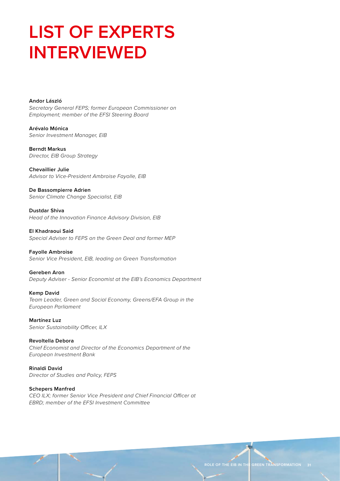# <span id="page-32-0"></span>**LIST OF EXPERTS INTERVIEWED**

**Andor László** *Secretary General FEPS; former European Commissioner on Employment; member of the EFSI Steering Board*

**Arévalo Mónica** *Senior Investment Manager, EIB*

**Berndt Markus** *Director, EIB Group Strategy*

**Chevaillier Julie** *Advisor to Vice-President Ambroise Fayolle, EIB*

**De Bassompierre Adrien** *Senior Climate Change Specialist, EIB*

**Dustdar Shiva** *Head of the Innovation Finance Advisory Division, EIB*

**El Khadraoui Said** *Special Adviser to FEPS on the Green Deal and former MEP*

**Fayolle Ambroise** *Senior Vice President, EIB, leading on Green Transformation*

**Gereben Aron** *Deputy Adviser - Senior Economist at the EIB's Economics Department*

**Kemp David** *Team Leader, Green and Social Economy, Greens/EFA Group in the European Parliament*

**Martínez Luz** *Senior Sustainability Officer, ILX*

**Revoltella Debora** *Chief Economist and Director of the Economics Department of the European Investment Bank*

**Rinaldi David** *Director of Studies and Policy, FEPS*

**Schepers Manfred** *CEO ILX; former Senior Vice President and Chief Financial Officer at EBRD; member of the EFSI Investment Committee*